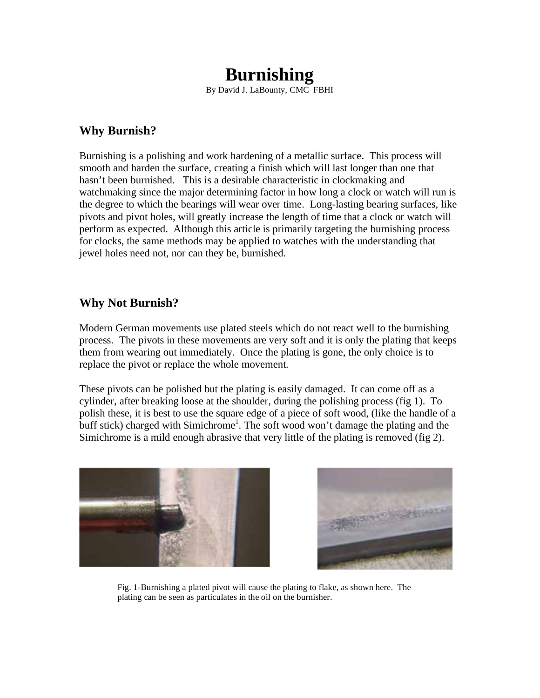# **Burnishing**

By David J. LaBounty, CMC FBHI

### **Why Burnish?**

Burnishing is a polishing and work hardening of a metallic surface. This process will smooth and harden the surface, creating a finish which will last longer than one that hasn't been burnished. This is a desirable characteristic in clockmaking and watchmaking since the major determining factor in how long a clock or watch will run is the degree to which the bearings will wear over time. Long-lasting bearing surfaces, like pivots and pivot holes, will greatly increase the length of time that a clock or watch will perform as expected. Although this article is primarily targeting the burnishing process for clocks, the same methods may be applied to watches with the understanding that jewel holes need not, nor can they be, burnished.

## **Why Not Burnish?**

Modern German movements use plated steels which do not react well to the burnishing process. The pivots in these movements are very soft and it is only the plating that keeps them from wearing out immediately. Once the plating is gone, the only choice is to replace the pivot or replace the whole movement.

These pivots can be polished but the plating is easily damaged. It can come off as a cylinder, after breaking loose at the shoulder, during the polishing process (fig 1). To polish these, it is best to use the square edge of a piece of soft wood, (like the handle of a buff stick) charged with Simichrome<sup>1</sup>. The soft wood won't damage the plating and the Simichrome is a mild enough abrasive that very little of the plating is removed (fig 2).





Fig. 1-Burnishing a plated pivot will cause the plating to flake, as shown here. The plating can be seen as particulates in the oil on the burnisher.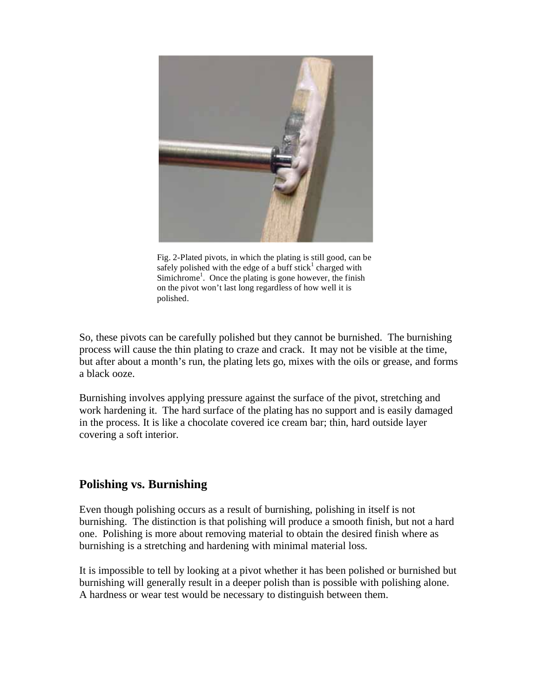

Fig. 2-Plated pivots, in which the plating is still good, can be safely polished with the edge of a buff stick<sup>1</sup> charged with Simichrome<sup>1</sup>. Once the plating is gone however, the finish on the pivot won't last long regardless of how well it is polished.

So, these pivots can be carefully polished but they cannot be burnished. The burnishing process will cause the thin plating to craze and crack. It may not be visible at the time, but after about a month's run, the plating lets go, mixes with the oils or grease, and forms a black ooze.

Burnishing involves applying pressure against the surface of the pivot, stretching and work hardening it. The hard surface of the plating has no support and is easily damaged in the process. It is like a chocolate covered ice cream bar; thin, hard outside layer covering a soft interior.

## **Polishing vs. Burnishing**

Even though polishing occurs as a result of burnishing, polishing in itself is not burnishing. The distinction is that polishing will produce a smooth finish, but not a hard one. Polishing is more about removing material to obtain the desired finish where as burnishing is a stretching and hardening with minimal material loss.

It is impossible to tell by looking at a pivot whether it has been polished or burnished but burnishing will generally result in a deeper polish than is possible with polishing alone. A hardness or wear test would be necessary to distinguish between them.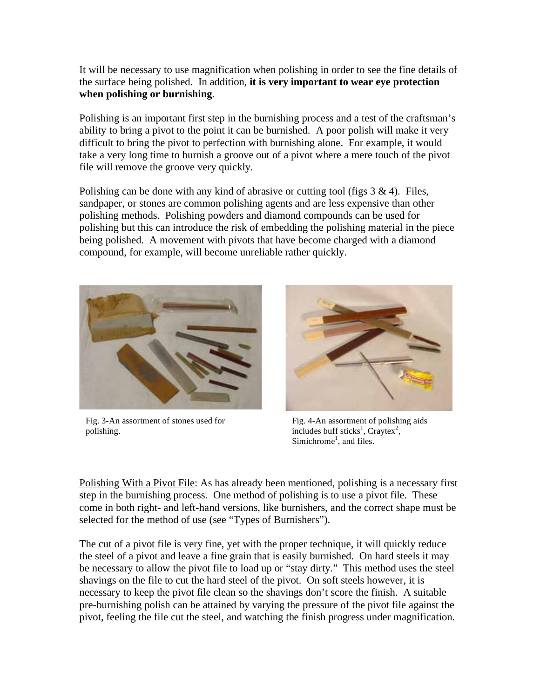It will be necessary to use magnification when polishing in order to see the fine details of the surface being polished. In addition, **it is very important to wear eye protection when polishing or burnishing**.

Polishing is an important first step in the burnishing process and a test of the craftsman's ability to bring a pivot to the point it can be burnished. A poor polish will make it very difficult to bring the pivot to perfection with burnishing alone. For example, it would take a very long time to burnish a groove out of a pivot where a mere touch of the pivot file will remove the groove very quickly.

Polishing can be done with any kind of abrasive or cutting tool (figs  $3 \& 4$ ). Files, sandpaper, or stones are common polishing agents and are less expensive than other polishing methods. Polishing powders and diamond compounds can be used for polishing but this can introduce the risk of embedding the polishing material in the piece being polished. A movement with pivots that have become charged with a diamond compound, for example, will become unreliable rather quickly.



Fig. 3-An assortment of stones used for polishing.



Fig. 4-An assortment of polishing aids includes buff sticks<sup>1</sup>, Craytex<sup>2</sup>, Simichrome<sup>1</sup>, and files.

Polishing With a Pivot File: As has already been mentioned, polishing is a necessary first step in the burnishing process. One method of polishing is to use a pivot file. These come in both right- and left-hand versions, like burnishers, and the correct shape must be selected for the method of use (see "Types of Burnishers").

The cut of a pivot file is very fine, yet with the proper technique, it will quickly reduce the steel of a pivot and leave a fine grain that is easily burnished. On hard steels it may be necessary to allow the pivot file to load up or "stay dirty." This method uses the steel shavings on the file to cut the hard steel of the pivot. On soft steels however, it is necessary to keep the pivot file clean so the shavings don't score the finish. A suitable pre-burnishing polish can be attained by varying the pressure of the pivot file against the pivot, feeling the file cut the steel, and watching the finish progress under magnification.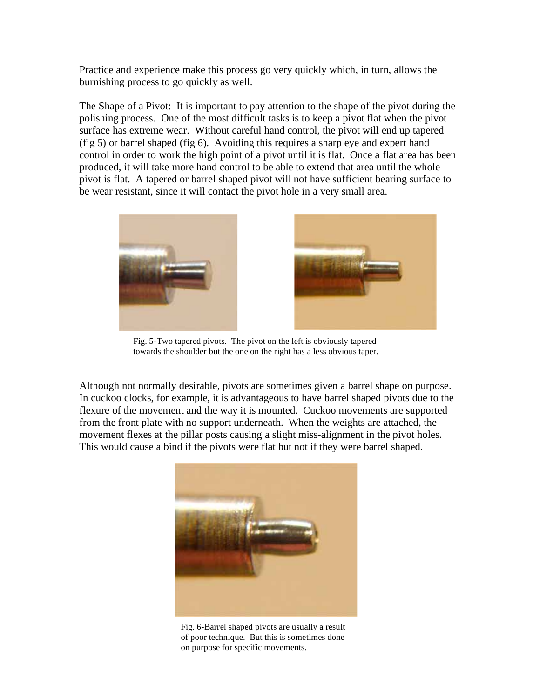Practice and experience make this process go very quickly which, in turn, allows the burnishing process to go quickly as well.

The Shape of a Pivot: It is important to pay attention to the shape of the pivot during the polishing process. One of the most difficult tasks is to keep a pivot flat when the pivot surface has extreme wear. Without careful hand control, the pivot will end up tapered (fig 5) or barrel shaped (fig 6). Avoiding this requires a sharp eye and expert hand control in order to work the high point of a pivot until it is flat. Once a flat area has been produced, it will take more hand control to be able to extend that area until the whole pivot is flat. A tapered or barrel shaped pivot will not have sufficient bearing surface to be wear resistant, since it will contact the pivot hole in a very small area.





Fig. 5-Two tapered pivots. The pivot on the left is obviously tapered towards the shoulder but the one on the right has a less obvious taper.

Although not normally desirable, pivots are sometimes given a barrel shape on purpose. In cuckoo clocks, for example, it is advantageous to have barrel shaped pivots due to the flexure of the movement and the way it is mounted. Cuckoo movements are supported from the front plate with no support underneath. When the weights are attached, the movement flexes at the pillar posts causing a slight miss-alignment in the pivot holes. This would cause a bind if the pivots were flat but not if they were barrel shaped.



Fig. 6-Barrel shaped pivots are usually a result of poor technique. But this is sometimes done on purpose for specific movements.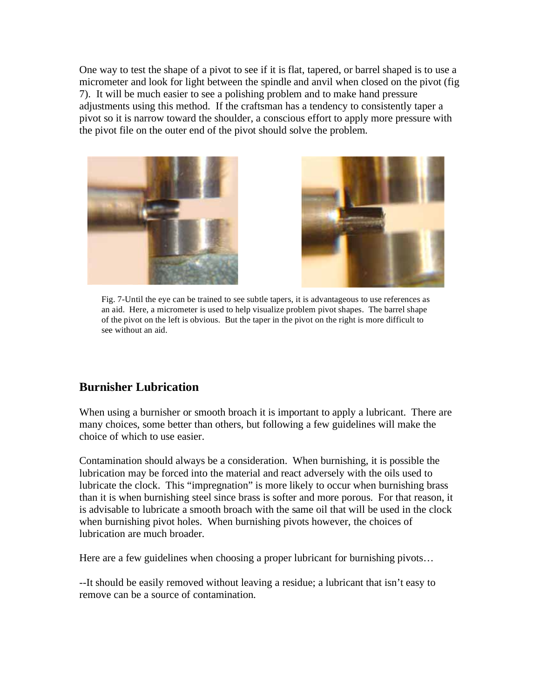One way to test the shape of a pivot to see if it is flat, tapered, or barrel shaped is to use a micrometer and look for light between the spindle and anvil when closed on the pivot (fig 7). It will be much easier to see a polishing problem and to make hand pressure adjustments using this method. If the craftsman has a tendency to consistently taper a pivot so it is narrow toward the shoulder, a conscious effort to apply more pressure with the pivot file on the outer end of the pivot should solve the problem.





Fig. 7-Until the eye can be trained to see subtle tapers, it is advantageous to use references as an aid. Here, a micrometer is used to help visualize problem pivot shapes. The barrel shape of the pivot on the left is obvious. But the taper in the pivot on the right is more difficult to see without an aid.

## **Burnisher Lubrication**

When using a burnisher or smooth broach it is important to apply a lubricant. There are many choices, some better than others, but following a few guidelines will make the choice of which to use easier.

Contamination should always be a consideration. When burnishing, it is possible the lubrication may be forced into the material and react adversely with the oils used to lubricate the clock. This "impregnation" is more likely to occur when burnishing brass than it is when burnishing steel since brass is softer and more porous. For that reason, it is advisable to lubricate a smooth broach with the same oil that will be used in the clock when burnishing pivot holes. When burnishing pivots however, the choices of lubrication are much broader.

Here are a few guidelines when choosing a proper lubricant for burnishing pivots...

--It should be easily removed without leaving a residue; a lubricant that isn't easy to remove can be a source of contamination.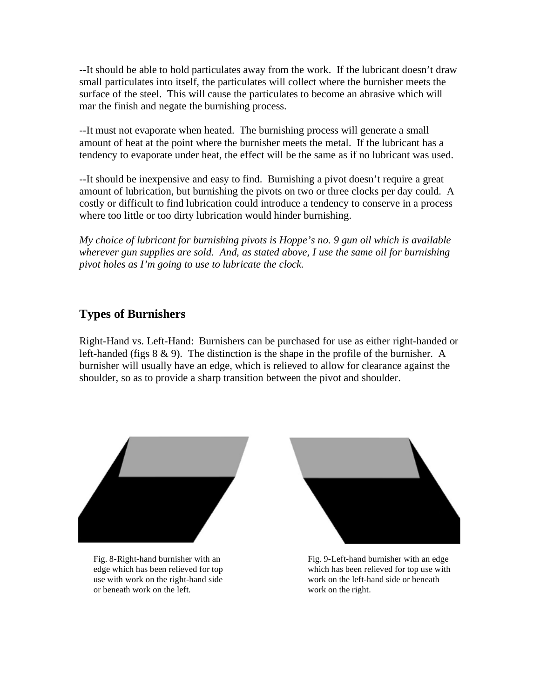--It should be able to hold particulates away from the work. If the lubricant doesn't draw small particulates into itself, the particulates will collect where the burnisher meets the surface of the steel. This will cause the particulates to become an abrasive which will mar the finish and negate the burnishing process.

--It must not evaporate when heated. The burnishing process will generate a small amount of heat at the point where the burnisher meets the metal. If the lubricant has a tendency to evaporate under heat, the effect will be the same as if no lubricant was used.

--It should be inexpensive and easy to find. Burnishing a pivot doesn't require a great amount of lubrication, but burnishing the pivots on two or three clocks per day could. A costly or difficult to find lubrication could introduce a tendency to conserve in a process where too little or too dirty lubrication would hinder burnishing.

*My choice of lubricant for burnishing pivots is Hoppe's no. 9 gun oil which is available wherever gun supplies are sold. And, as stated above, I use the same oil for burnishing pivot holes as I'm going to use to lubricate the clock.* 

## **Types of Burnishers**

Right-Hand vs. Left-Hand: Burnishers can be purchased for use as either right-handed or left-handed (figs 8 & 9). The distinction is the shape in the profile of the burnisher. A burnisher will usually have an edge, which is relieved to allow for clearance against the shoulder, so as to provide a sharp transition between the pivot and shoulder.



Fig. 8-Right-hand burnisher with an edge which has been relieved for top use with work on the right-hand side or beneath work on the left.



Fig. 9-Left-hand burnisher with an edge which has been relieved for top use with work on the left-hand side or beneath work on the right.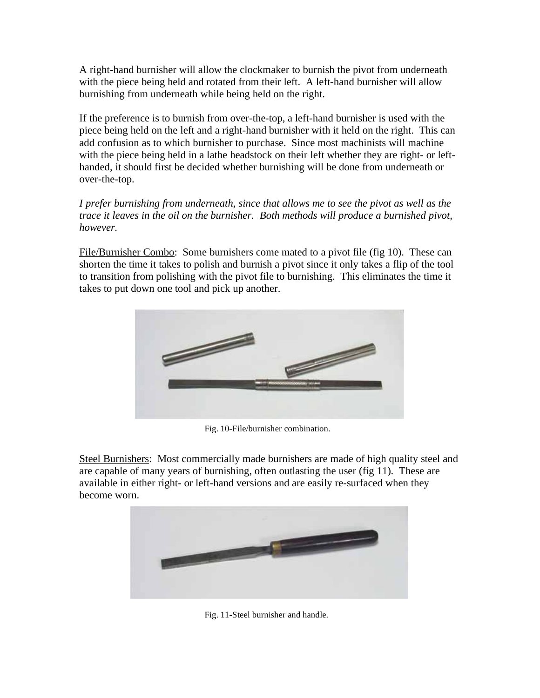A right-hand burnisher will allow the clockmaker to burnish the pivot from underneath with the piece being held and rotated from their left. A left-hand burnisher will allow burnishing from underneath while being held on the right.

If the preference is to burnish from over-the-top, a left-hand burnisher is used with the piece being held on the left and a right-hand burnisher with it held on the right. This can add confusion as to which burnisher to purchase. Since most machinists will machine with the piece being held in a lathe headstock on their left whether they are right- or lefthanded, it should first be decided whether burnishing will be done from underneath or over-the-top.

*I prefer burnishing from underneath, since that allows me to see the pivot as well as the trace it leaves in the oil on the burnisher. Both methods will produce a burnished pivot, however.* 

File/Burnisher Combo: Some burnishers come mated to a pivot file (fig 10). These can shorten the time it takes to polish and burnish a pivot since it only takes a flip of the tool to transition from polishing with the pivot file to burnishing. This eliminates the time it takes to put down one tool and pick up another.



Fig. 10-File/burnisher combination.

Steel Burnishers: Most commercially made burnishers are made of high quality steel and are capable of many years of burnishing, often outlasting the user (fig 11). These are available in either right- or left-hand versions and are easily re-surfaced when they become worn.



Fig. 11-Steel burnisher and handle.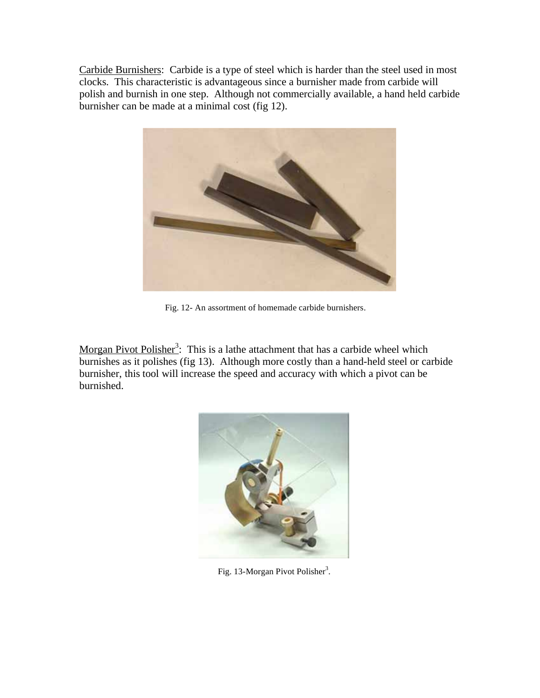Carbide Burnishers: Carbide is a type of steel which is harder than the steel used in most clocks. This characteristic is advantageous since a burnisher made from carbide will polish and burnish in one step. Although not commercially available, a hand held carbide burnisher can be made at a minimal cost (fig 12).



Fig. 12- An assortment of homemade carbide burnishers.

Morgan Pivot Polisher<sup>3</sup>: This is a lathe attachment that has a carbide wheel which burnishes as it polishes (fig 13). Although more costly than a hand-held steel or carbide burnisher, this tool will increase the speed and accuracy with which a pivot can be burnished.



Fig. 13-Morgan Pivot Polisher<sup>3</sup>.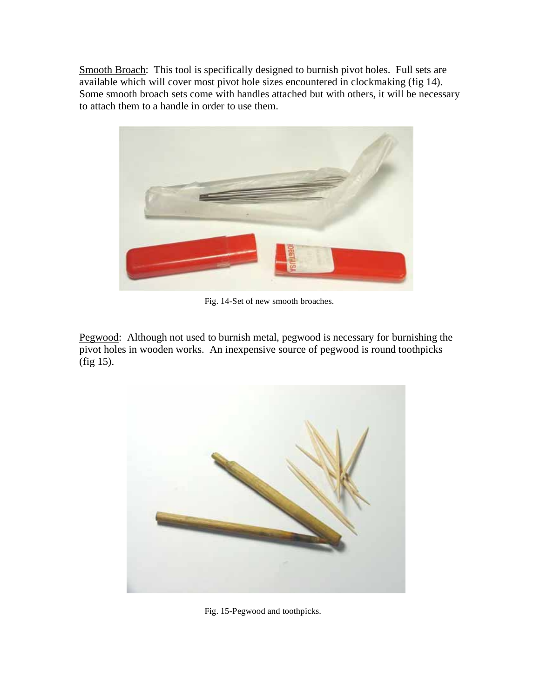Smooth Broach: This tool is specifically designed to burnish pivot holes. Full sets are available which will cover most pivot hole sizes encountered in clockmaking (fig 14). Some smooth broach sets come with handles attached but with others, it will be necessary to attach them to a handle in order to use them.



Fig. 14-Set of new smooth broaches.

Pegwood: Although not used to burnish metal, pegwood is necessary for burnishing the pivot holes in wooden works. An inexpensive source of pegwood is round toothpicks (fig 15).



Fig. 15-Pegwood and toothpicks.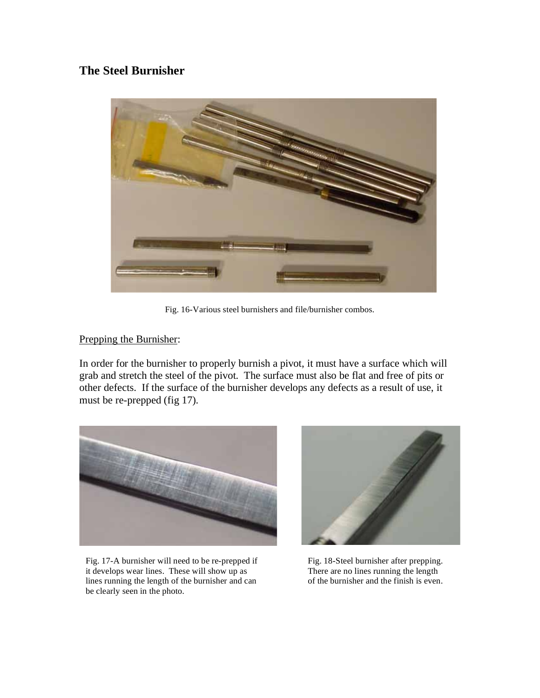## **The Steel Burnisher**



Fig. 16-Various steel burnishers and file/burnisher combos.

#### Prepping the Burnisher:

In order for the burnisher to properly burnish a pivot, it must have a surface which will grab and stretch the steel of the pivot. The surface must also be flat and free of pits or other defects. If the surface of the burnisher develops any defects as a result of use, it must be re-prepped (fig 17).



Fig. 17-A burnisher will need to be re-prepped if it develops wear lines. These will show up as lines running the length of the burnisher and can be clearly seen in the photo.



Fig. 18-Steel burnisher after prepping. There are no lines running the length of the burnisher and the finish is even.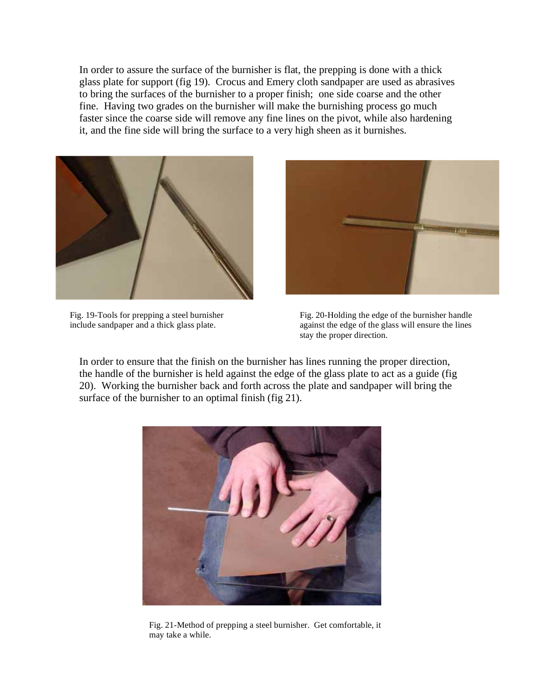In order to assure the surface of the burnisher is flat, the prepping is done with a thick glass plate for support (fig 19). Crocus and Emery cloth sandpaper are used as abrasives to bring the surfaces of the burnisher to a proper finish; one side coarse and the other fine. Having two grades on the burnisher will make the burnishing process go much faster since the coarse side will remove any fine lines on the pivot, while also hardening it, and the fine side will bring the surface to a very high sheen as it burnishes.



Fig. 19-Tools for prepping a steel burnisher include sandpaper and a thick glass plate.



Fig. 20-Holding the edge of the burnisher handle against the edge of the glass will ensure the lines stay the proper direction.

In order to ensure that the finish on the burnisher has lines running the proper direction, the handle of the burnisher is held against the edge of the glass plate to act as a guide (fig 20). Working the burnisher back and forth across the plate and sandpaper will bring the surface of the burnisher to an optimal finish (fig 21).



Fig. 21-Method of prepping a steel burnisher. Get comfortable, it may take a while.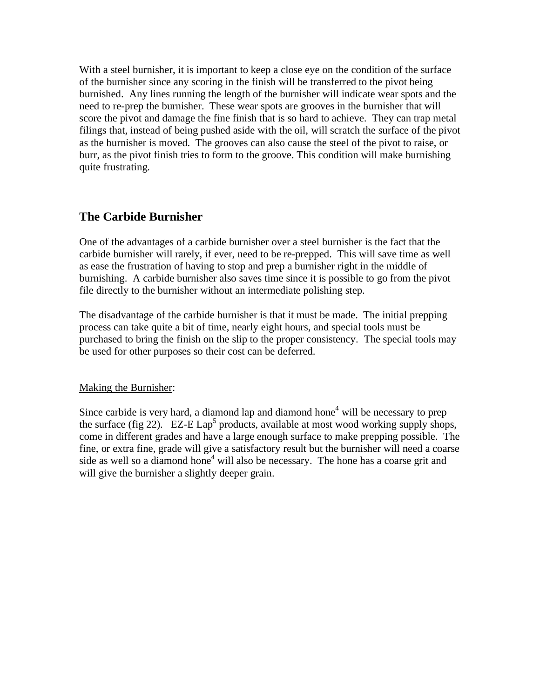With a steel burnisher, it is important to keep a close eye on the condition of the surface of the burnisher since any scoring in the finish will be transferred to the pivot being burnished. Any lines running the length of the burnisher will indicate wear spots and the need to re-prep the burnisher. These wear spots are grooves in the burnisher that will score the pivot and damage the fine finish that is so hard to achieve. They can trap metal filings that, instead of being pushed aside with the oil, will scratch the surface of the pivot as the burnisher is moved. The grooves can also cause the steel of the pivot to raise, or burr, as the pivot finish tries to form to the groove. This condition will make burnishing quite frustrating.

## **The Carbide Burnisher**

One of the advantages of a carbide burnisher over a steel burnisher is the fact that the carbide burnisher will rarely, if ever, need to be re-prepped. This will save time as well as ease the frustration of having to stop and prep a burnisher right in the middle of burnishing. A carbide burnisher also saves time since it is possible to go from the pivot file directly to the burnisher without an intermediate polishing step.

The disadvantage of the carbide burnisher is that it must be made. The initial prepping process can take quite a bit of time, nearly eight hours, and special tools must be purchased to bring the finish on the slip to the proper consistency. The special tools may be used for other purposes so their cost can be deferred.

#### Making the Burnisher:

Since carbide is very hard, a diamond lap and diamond hone<sup>4</sup> will be necessary to prep the surface (fig 22).  $EZ-E Lap^5$  products, available at most wood working supply shops, come in different grades and have a large enough surface to make prepping possible. The fine, or extra fine, grade will give a satisfactory result but the burnisher will need a coarse side as well so a diamond hone<sup>4</sup> will also be necessary. The hone has a coarse grit and will give the burnisher a slightly deeper grain.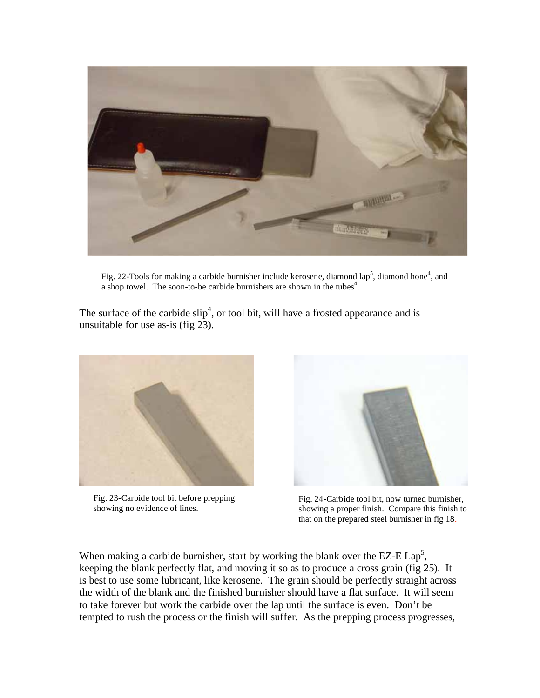

Fig. 22-Tools for making a carbide burnisher include kerosene, diamond lap<sup>5</sup>, diamond hone<sup>4</sup>, and a shop towel. The soon-to-be carbide burnishers are shown in the tubes<sup>4</sup>.

The surface of the carbide  $\text{slip}^4$ , or tool bit, will have a frosted appearance and is unsuitable for use as-is (fig 23).



Fig. 23-Carbide tool bit before prepping showing no evidence of lines.



Fig. 24-Carbide tool bit, now turned burnisher, showing a proper finish. Compare this finish to that on the prepared steel burnisher in fig 18.

When making a carbide burnisher, start by working the blank over the EZ-E  $\text{Lap}^5$ , keeping the blank perfectly flat, and moving it so as to produce a cross grain (fig 25). It is best to use some lubricant, like kerosene. The grain should be perfectly straight across the width of the blank and the finished burnisher should have a flat surface. It will seem to take forever but work the carbide over the lap until the surface is even. Don't be tempted to rush the process or the finish will suffer. As the prepping process progresses,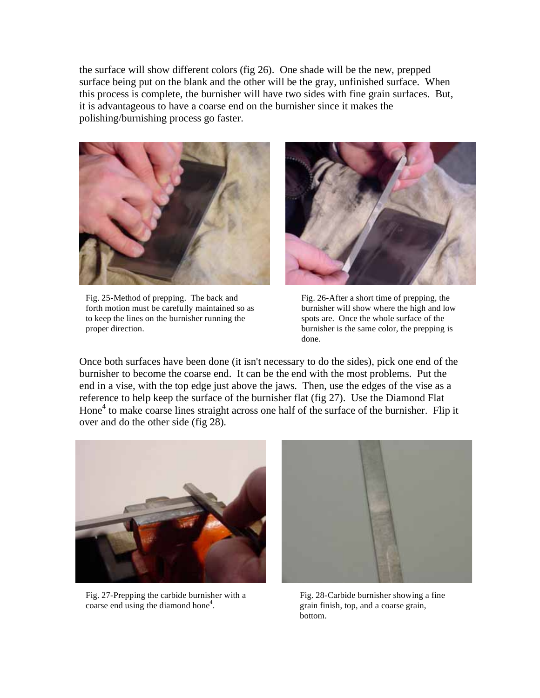the surface will show different colors (fig 26). One shade will be the new, prepped surface being put on the blank and the other will be the gray, unfinished surface. When this process is complete, the burnisher will have two sides with fine grain surfaces. But, it is advantageous to have a coarse end on the burnisher since it makes the polishing/burnishing process go faster.



Fig. 25-Method of prepping. The back and forth motion must be carefully maintained so as to keep the lines on the burnisher running the proper direction.



Fig. 26-After a short time of prepping, the burnisher will show where the high and low spots are. Once the whole surface of the burnisher is the same color, the prepping is done.

Once both surfaces have been done (it isn't necessary to do the sides), pick one end of the burnisher to become the coarse end. It can be the end with the most problems. Put the end in a vise, with the top edge just above the jaws. Then, use the edges of the vise as a reference to help keep the surface of the burnisher flat (fig 27). Use the Diamond Flat Hone<sup>4</sup> to make coarse lines straight across one half of the surface of the burnisher. Flip it over and do the other side (fig 28).



Fig. 27-Prepping the carbide burnisher with a coarse end using the diamond hone $4$ .



Fig. 28-Carbide burnisher showing a fine grain finish, top, and a coarse grain, bottom.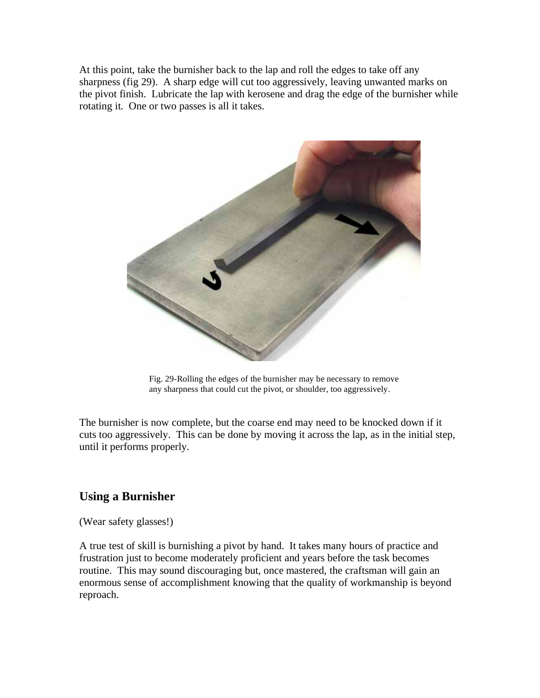At this point, take the burnisher back to the lap and roll the edges to take off any sharpness (fig 29). A sharp edge will cut too aggressively, leaving unwanted marks on the pivot finish. Lubricate the lap with kerosene and drag the edge of the burnisher while rotating it. One or two passes is all it takes.



Fig. 29-Rolling the edges of the burnisher may be necessary to remove any sharpness that could cut the pivot, or shoulder, too aggressively.

The burnisher is now complete, but the coarse end may need to be knocked down if it cuts too aggressively. This can be done by moving it across the lap, as in the initial step, until it performs properly.

#### **Using a Burnisher**

(Wear safety glasses!)

A true test of skill is burnishing a pivot by hand. It takes many hours of practice and frustration just to become moderately proficient and years before the task becomes routine. This may sound discouraging but, once mastered, the craftsman will gain an enormous sense of accomplishment knowing that the quality of workmanship is beyond reproach.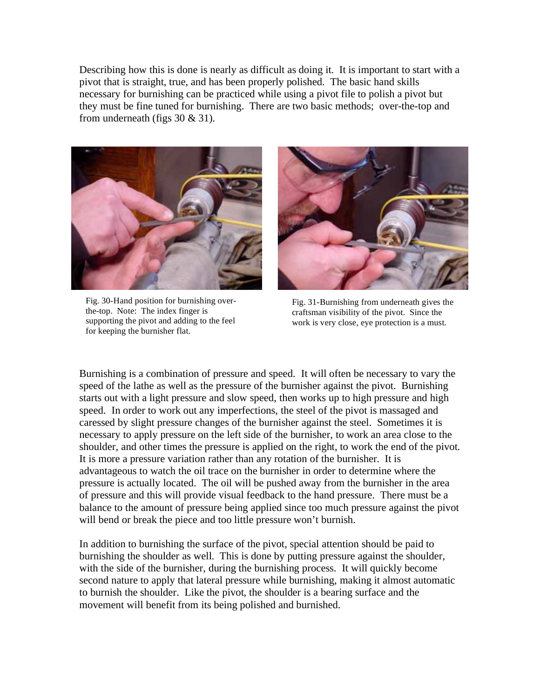Describing how this is done is nearly as difficult as doing it. It is important to start with a pivot that is straight, true, and has been properly polished. The basic hand skills necessary for burnishing can be practiced while using a pivot file to polish a pivot but they must be fine tuned for burnishing. There are two basic methods; over-the-top and from underneath (figs 30 & 31).



Fig. 30-Hand position for burnishing overthe-top. Note: The index finger is supporting the pivot and adding to the feel for keeping the burnisher flat.



Fig. 31-Burnishing from underneath gives the craftsman visibility of the pivot. Since the work is very close, eye protection is a must.

Burnishing is a combination of pressure and speed. It will often be necessary to vary the speed of the lathe as well as the pressure of the burnisher against the pivot. Burnishing starts out with a light pressure and slow speed, then works up to high pressure and high speed. In order to work out any imperfections, the steel of the pivot is massaged and caressed by slight pressure changes of the burnisher against the steel. Sometimes it is necessary to apply pressure on the left side of the burnisher, to work an area close to the shoulder, and other times the pressure is applied on the right, to work the end of the pivot. It is more a pressure variation rather than any rotation of the burnisher. It is advantageous to watch the oil trace on the burnisher in order to determine where the pressure is actually located. The oil will be pushed away from the burnisher in the area of pressure and this will provide visual feedback to the hand pressure. There must be a balance to the amount of pressure being applied since too much pressure against the pivot will bend or break the piece and too little pressure won't burnish.

In addition to burnishing the surface of the pivot, special attention should be paid to burnishing the shoulder as well. This is done by putting pressure against the shoulder, with the side of the burnisher, during the burnishing process. It will quickly become second nature to apply that lateral pressure while burnishing, making it almost automatic to burnish the shoulder. Like the pivot, the shoulder is a bearing surface and the movement will benefit from its being polished and burnished.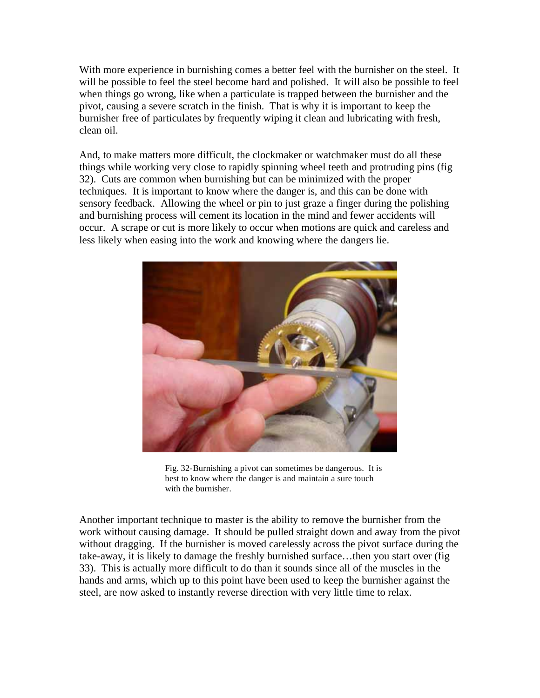With more experience in burnishing comes a better feel with the burnisher on the steel. It will be possible to feel the steel become hard and polished. It will also be possible to feel when things go wrong, like when a particulate is trapped between the burnisher and the pivot, causing a severe scratch in the finish. That is why it is important to keep the burnisher free of particulates by frequently wiping it clean and lubricating with fresh, clean oil.

And, to make matters more difficult, the clockmaker or watchmaker must do all these things while working very close to rapidly spinning wheel teeth and protruding pins (fig 32). Cuts are common when burnishing but can be minimized with the proper techniques. It is important to know where the danger is, and this can be done with sensory feedback. Allowing the wheel or pin to just graze a finger during the polishing and burnishing process will cement its location in the mind and fewer accidents will occur. A scrape or cut is more likely to occur when motions are quick and careless and less likely when easing into the work and knowing where the dangers lie.



Fig. 32-Burnishing a pivot can sometimes be dangerous. It is best to know where the danger is and maintain a sure touch with the burnisher.

Another important technique to master is the ability to remove the burnisher from the work without causing damage. It should be pulled straight down and away from the pivot without dragging. If the burnisher is moved carelessly across the pivot surface during the take-away, it is likely to damage the freshly burnished surface…then you start over (fig 33). This is actually more difficult to do than it sounds since all of the muscles in the hands and arms, which up to this point have been used to keep the burnisher against the steel, are now asked to instantly reverse direction with very little time to relax.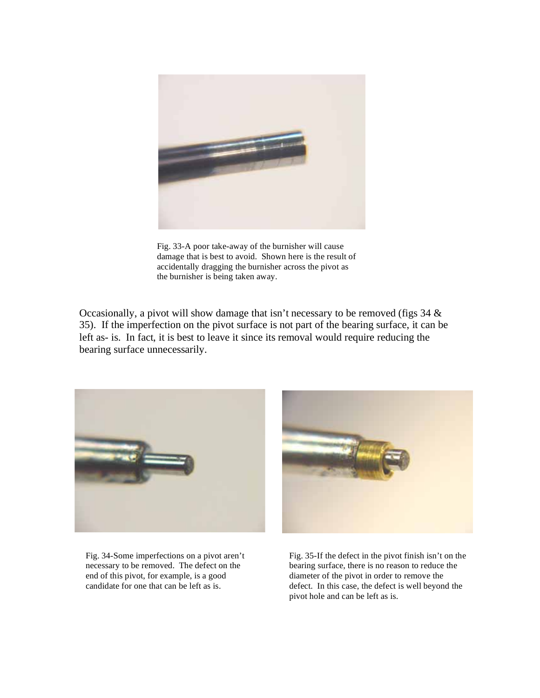

Fig. 33-A poor take-away of the burnisher will cause damage that is best to avoid. Shown here is the result of accidentally dragging the burnisher across the pivot as the burnisher is being taken away.

Occasionally, a pivot will show damage that isn't necessary to be removed (figs 34 & 35). If the imperfection on the pivot surface is not part of the bearing surface, it can be left as- is. In fact, it is best to leave it since its removal would require reducing the bearing surface unnecessarily.



Fig. 34-Some imperfections on a pivot aren't necessary to be removed. The defect on the end of this pivot, for example, is a good candidate for one that can be left as is.



Fig. 35-If the defect in the pivot finish isn't on the bearing surface, there is no reason to reduce the diameter of the pivot in order to remove the defect. In this case, the defect is well beyond the pivot hole and can be left as is.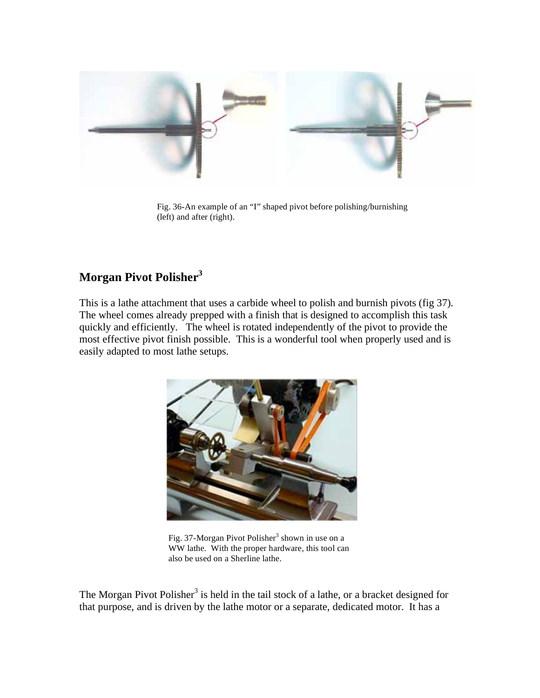

Fig. 36-An example of an "I" shaped pivot before polishing/burnishing (left) and after (right).

## **Morgan Pivot Polisher<sup>3</sup>**

This is a lathe attachment that uses a carbide wheel to polish and burnish pivots (fig 37). The wheel comes already prepped with a finish that is designed to accomplish this task quickly and efficiently. The wheel is rotated independently of the pivot to provide the most effective pivot finish possible. This is a wonderful tool when properly used and is easily adapted to most lathe setups.



Fig. 37-Morgan Pivot Polisher<sup>3</sup> shown in use on a WW lathe. With the proper hardware, this tool can also be used on a Sherline lathe.

The Morgan Pivot Polisher<sup>3</sup> is held in the tail stock of a lathe, or a bracket designed for that purpose, and is driven by the lathe motor or a separate, dedicated motor. It has a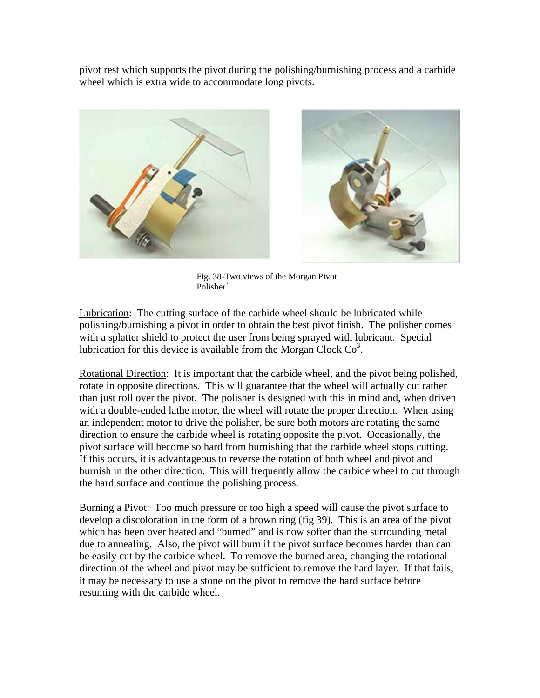pivot rest which supports the pivot during the polishing/burnishing process and a carbide wheel which is extra wide to accommodate long pivots.



Fig. 38-Two views of the Morgan Pivot Polisher<sup>3</sup>

Lubrication: The cutting surface of the carbide wheel should be lubricated while polishing/burnishing a pivot in order to obtain the best pivot finish. The polisher comes with a splatter shield to protect the user from being sprayed with lubricant. Special lubrication for this device is available from the Morgan Clock  $Co<sup>3</sup>$ .

Rotational Direction: It is important that the carbide wheel, and the pivot being polished, rotate in opposite directions. This will guarantee that the wheel will actually cut rather than just roll over the pivot. The polisher is designed with this in mind and, when driven with a double-ended lathe motor, the wheel will rotate the proper direction. When using an independent motor to drive the polisher, be sure both motors are rotating the same direction to ensure the carbide wheel is rotating opposite the pivot. Occasionally, the pivot surface will become so hard from burnishing that the carbide wheel stops cutting. If this occurs, it is advantageous to reverse the rotation of both wheel and pivot and burnish in the other direction. This will frequently allow the carbide wheel to cut through the hard surface and continue the polishing process.

Burning a Pivot: Too much pressure or too high a speed will cause the pivot surface to develop a discoloration in the form of a brown ring (fig 39). This is an area of the pivot which has been over heated and "burned" and is now softer than the surrounding metal due to annealing. Also, the pivot will burn if the pivot surface becomes harder than can be easily cut by the carbide wheel. To remove the burned area, changing the rotational direction of the wheel and pivot may be sufficient to remove the hard layer. If that fails, it may be necessary to use a stone on the pivot to remove the hard surface before resuming with the carbide wheel.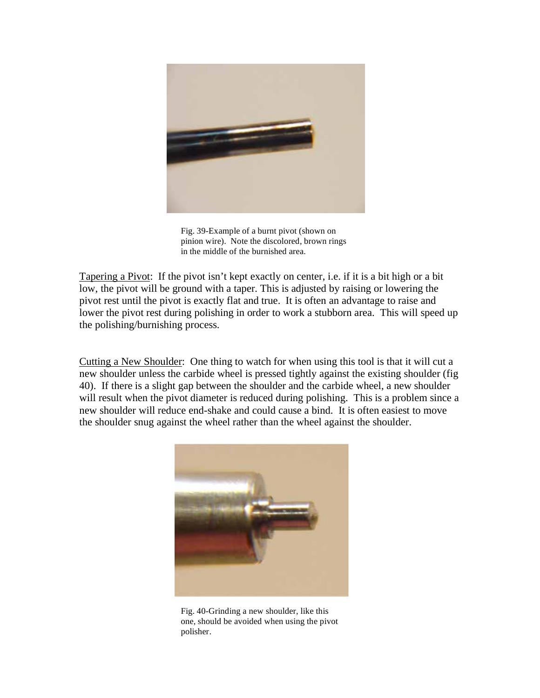

Fig. 39-Example of a burnt pivot (shown on pinion wire). Note the discolored, brown rings in the middle of the burnished area.

Tapering a Pivot: If the pivot isn't kept exactly on center, i.e. if it is a bit high or a bit low, the pivot will be ground with a taper. This is adjusted by raising or lowering the pivot rest until the pivot is exactly flat and true. It is often an advantage to raise and lower the pivot rest during polishing in order to work a stubborn area. This will speed up the polishing/burnishing process.

Cutting a New Shoulder: One thing to watch for when using this tool is that it will cut a new shoulder unless the carbide wheel is pressed tightly against the existing shoulder (fig 40). If there is a slight gap between the shoulder and the carbide wheel, a new shoulder will result when the pivot diameter is reduced during polishing. This is a problem since a new shoulder will reduce end-shake and could cause a bind. It is often easiest to move the shoulder snug against the wheel rather than the wheel against the shoulder.



Fig. 40-Grinding a new shoulder, like this one, should be avoided when using the pivot polisher.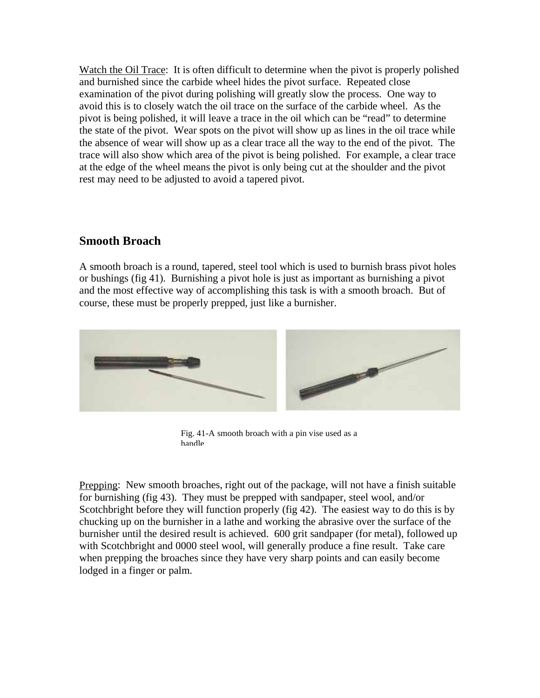Watch the Oil Trace: It is often difficult to determine when the pivot is properly polished and burnished since the carbide wheel hides the pivot surface. Repeated close examination of the pivot during polishing will greatly slow the process. One way to avoid this is to closely watch the oil trace on the surface of the carbide wheel. As the pivot is being polished, it will leave a trace in the oil which can be "read" to determine the state of the pivot. Wear spots on the pivot will show up as lines in the oil trace while the absence of wear will show up as a clear trace all the way to the end of the pivot. The trace will also show which area of the pivot is being polished. For example, a clear trace at the edge of the wheel means the pivot is only being cut at the shoulder and the pivot rest may need to be adjusted to avoid a tapered pivot.

#### **Smooth Broach**

A smooth broach is a round, tapered, steel tool which is used to burnish brass pivot holes or bushings (fig 41). Burnishing a pivot hole is just as important as burnishing a pivot and the most effective way of accomplishing this task is with a smooth broach. But of course, these must be properly prepped, just like a burnisher.



Fig. 41-A smooth broach with a pin vise used as a handle

Prepping: New smooth broaches, right out of the package, will not have a finish suitable for burnishing (fig 43). They must be prepped with sandpaper, steel wool, and/or Scotchbright before they will function properly (fig 42). The easiest way to do this is by chucking up on the burnisher in a lathe and working the abrasive over the surface of the burnisher until the desired result is achieved. 600 grit sandpaper (for metal), followed up with Scotchbright and 0000 steel wool, will generally produce a fine result. Take care when prepping the broaches since they have very sharp points and can easily become lodged in a finger or palm.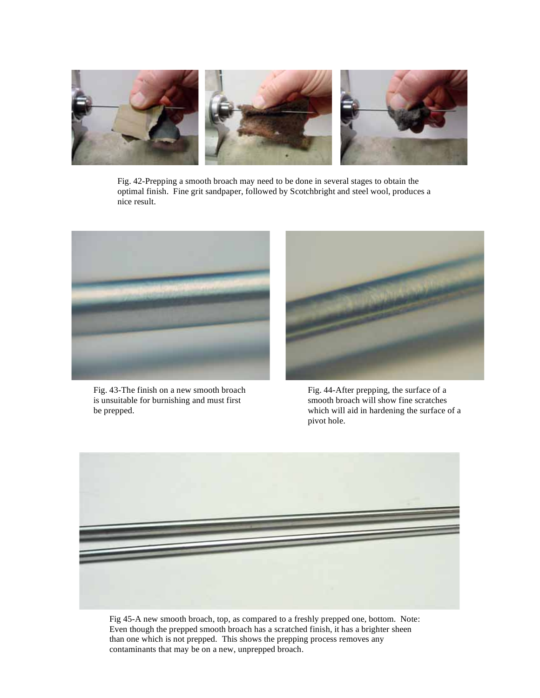

Fig. 42-Prepping a smooth broach may need to be done in several stages to obtain the optimal finish. Fine grit sandpaper, followed by Scotchbright and steel wool, produces a nice result.



Fig. 43-The finish on a new smooth broach is unsuitable for burnishing and must first be prepped.



Fig. 44-After prepping, the surface of a smooth broach will show fine scratches which will aid in hardening the surface of a pivot hole.



Fig 45-A new smooth broach, top, as compared to a freshly prepped one, bottom. Note: Even though the prepped smooth broach has a scratched finish, it has a brighter sheen than one which is not prepped. This shows the prepping process removes any contaminants that may be on a new, unprepped broach.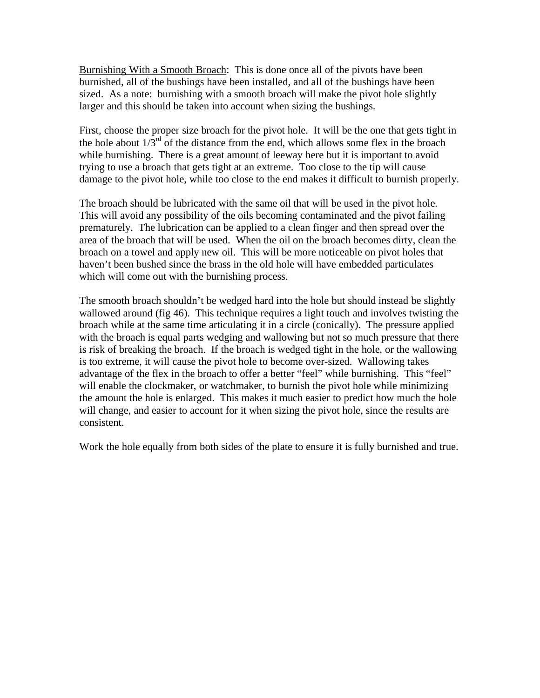Burnishing With a Smooth Broach: This is done once all of the pivots have been burnished, all of the bushings have been installed, and all of the bushings have been sized. As a note: burnishing with a smooth broach will make the pivot hole slightly larger and this should be taken into account when sizing the bushings.

First, choose the proper size broach for the pivot hole. It will be the one that gets tight in the hole about  $1/3^{rd}$  of the distance from the end, which allows some flex in the broach while burnishing. There is a great amount of leeway here but it is important to avoid trying to use a broach that gets tight at an extreme. Too close to the tip will cause damage to the pivot hole, while too close to the end makes it difficult to burnish properly.

The broach should be lubricated with the same oil that will be used in the pivot hole. This will avoid any possibility of the oils becoming contaminated and the pivot failing prematurely. The lubrication can be applied to a clean finger and then spread over the area of the broach that will be used. When the oil on the broach becomes dirty, clean the broach on a towel and apply new oil. This will be more noticeable on pivot holes that haven't been bushed since the brass in the old hole will have embedded particulates which will come out with the burnishing process.

The smooth broach shouldn't be wedged hard into the hole but should instead be slightly wallowed around (fig 46). This technique requires a light touch and involves twisting the broach while at the same time articulating it in a circle (conically). The pressure applied with the broach is equal parts wedging and wallowing but not so much pressure that there is risk of breaking the broach. If the broach is wedged tight in the hole, or the wallowing is too extreme, it will cause the pivot hole to become over-sized. Wallowing takes advantage of the flex in the broach to offer a better "feel" while burnishing. This "feel" will enable the clockmaker, or watchmaker, to burnish the pivot hole while minimizing the amount the hole is enlarged. This makes it much easier to predict how much the hole will change, and easier to account for it when sizing the pivot hole, since the results are consistent.

Work the hole equally from both sides of the plate to ensure it is fully burnished and true.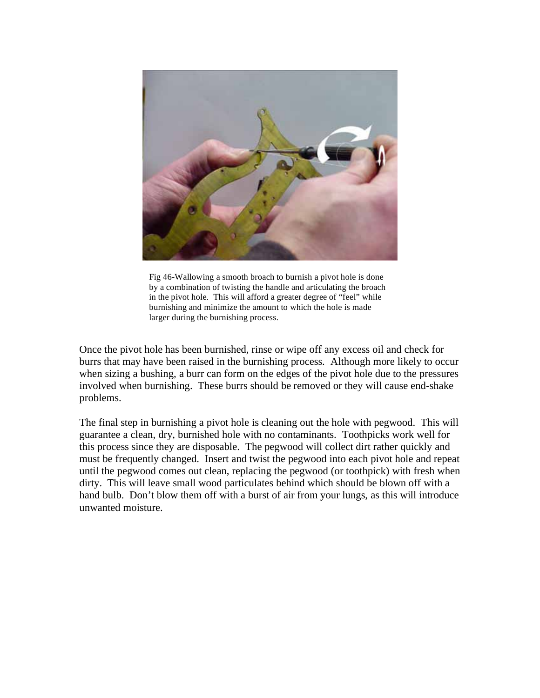

Fig 46-Wallowing a smooth broach to burnish a pivot hole is done by a combination of twisting the handle and articulating the broach in the pivot hole. This will afford a greater degree of "feel" while burnishing and minimize the amount to which the hole is made larger during the burnishing process.

Once the pivot hole has been burnished, rinse or wipe off any excess oil and check for burrs that may have been raised in the burnishing process. Although more likely to occur when sizing a bushing, a burr can form on the edges of the pivot hole due to the pressures involved when burnishing. These burrs should be removed or they will cause end-shake problems.

The final step in burnishing a pivot hole is cleaning out the hole with pegwood. This will guarantee a clean, dry, burnished hole with no contaminants. Toothpicks work well for this process since they are disposable. The pegwood will collect dirt rather quickly and must be frequently changed. Insert and twist the pegwood into each pivot hole and repeat until the pegwood comes out clean, replacing the pegwood (or toothpick) with fresh when dirty. This will leave small wood particulates behind which should be blown off with a hand bulb. Don't blow them off with a burst of air from your lungs, as this will introduce unwanted moisture.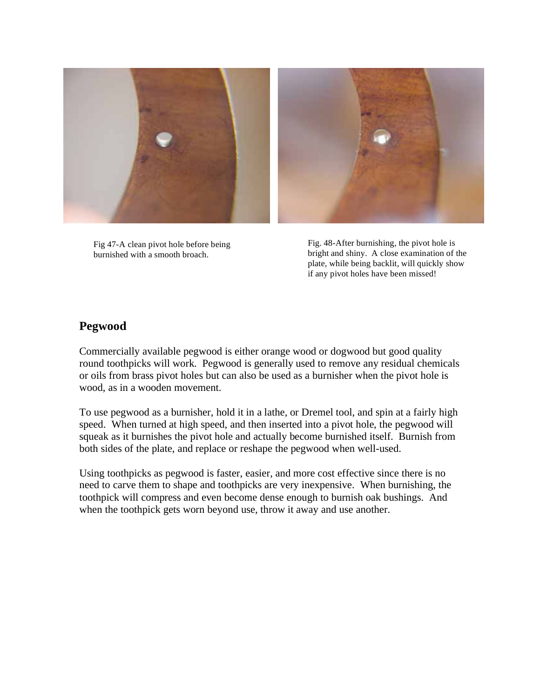

Fig 47-A clean pivot hole before being burnished with a smooth broach.

Fig. 48-After burnishing, the pivot hole is bright and shiny. A close examination of the plate, while being backlit, will quickly show if any pivot holes have been missed!

#### **Pegwood**

Commercially available pegwood is either orange wood or dogwood but good quality round toothpicks will work. Pegwood is generally used to remove any residual chemicals or oils from brass pivot holes but can also be used as a burnisher when the pivot hole is wood, as in a wooden movement.

To use pegwood as a burnisher, hold it in a lathe, or Dremel tool, and spin at a fairly high speed. When turned at high speed, and then inserted into a pivot hole, the pegwood will squeak as it burnishes the pivot hole and actually become burnished itself. Burnish from both sides of the plate, and replace or reshape the pegwood when well-used.

Using toothpicks as pegwood is faster, easier, and more cost effective since there is no need to carve them to shape and toothpicks are very inexpensive. When burnishing, the toothpick will compress and even become dense enough to burnish oak bushings. And when the toothpick gets worn beyond use, throw it away and use another.